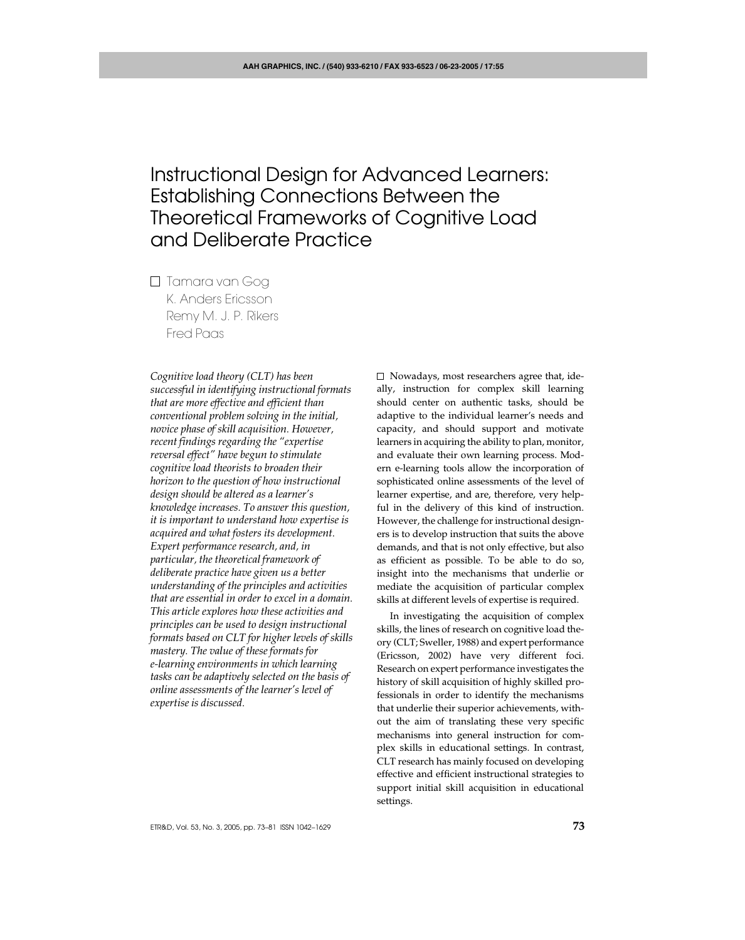# Instructional Design for Advanced Learners: Establishing Connections Between the Theoretical Frameworks of Cognitive Load and Deliberate Practice

Tamara van Gog K. Anders Ericsson Remy M. J. P. Rikers Fred Paas

*Cognitive load theory (CLT) has been successful in identifying instructional formats that are more effective and efficient than conventional problem solving in the initial, novice phase of skill acquisition. However, recent findings regarding the "expertise reversal effect" have begun to stimulate cognitive load theorists to broaden their horizon to the question of how instructional design should be altered as a learner's knowledge increases. To answer this question, it is important to understand how expertise is acquired and what fosters its development. Expert performance research, and, in particular, the theoretical framework of deliberate practice have given us a better understanding of the principles and activities that are essential in order to excel in a domain. This article explores how these activities and principles can be used to design instructional formats based on CLT for higher levels of skills mastery. The value of these formats for e-learning environments in which learning tasks can be adaptively selected on the basis of online assessments of the learner's level of expertise is discussed.*

□ Nowadays, most researchers agree that, ideally, instruction for complex skill learning should center on authentic tasks, should be adaptive to the individual learner's needs and capacity, and should support and motivate learners in acquiring the ability to plan, monitor, and evaluate their own learning process. Modern e-learning tools allow the incorporation of sophisticated online assessments of the level of learner expertise, and are, therefore, very helpful in the delivery of this kind of instruction. However, the challenge for instructional designers is to develop instruction that suits the above demands, and that is not only effective, but also as efficient as possible. To be able to do so, insight into the mechanisms that underlie or mediate the acquisition of particular complex skills at different levels of expertise is required.

In investigating the acquisition of complex skills, the lines of research on cognitive load theory (CLT; Sweller, 1988) and expert performance (Ericsson, 2002) have very different foci. Research on expert performance investigates the history of skill acquisition of highly skilled professionals in order to identify the mechanisms that underlie their superior achievements, without the aim of translating these very specific mechanisms into general instruction for complex skills in educational settings. In contrast, CLT research has mainly focused on developing effective and efficient instructional strategies to support initial skill acquisition in educational settings.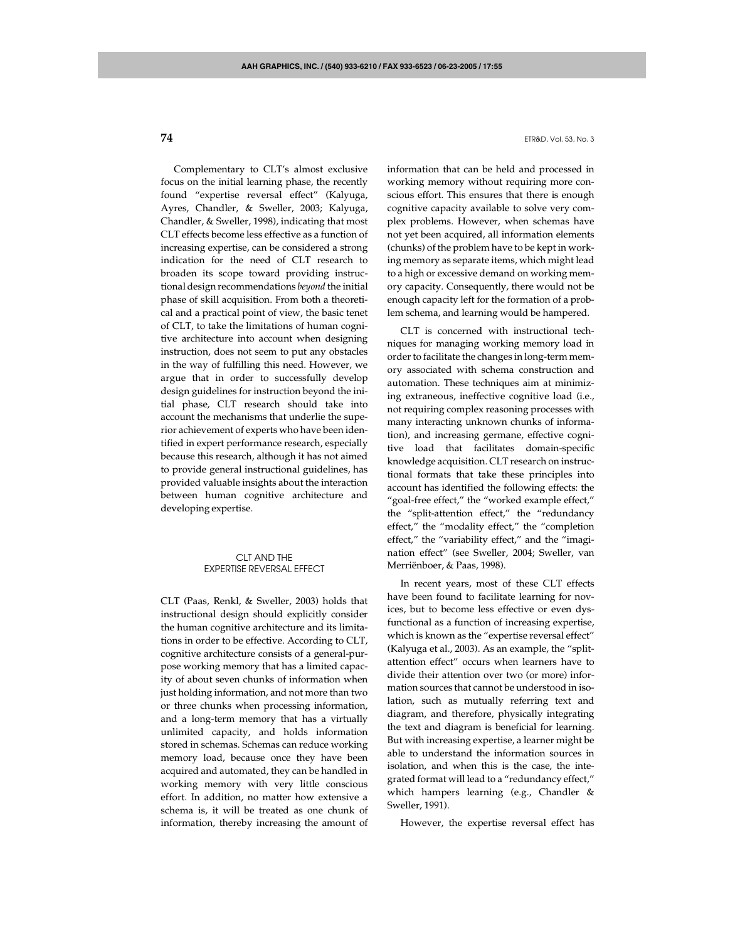Complementary to CLT's almost exclusive focus on the initial learning phase, the recently found "expertise reversal effect" (Kalyuga, Ayres, Chandler, & Sweller, 2003; Kalyuga, Chandler, & Sweller, 1998), indicating that most CLT effects become less effective as a function of increasing expertise, can be considered a strong indication for the need of CLT research to broaden its scope toward providing instructional design recommendations *beyond* the initial phase of skill acquisition. From both a theoretical and a practical point of view, the basic tenet of CLT, to take the limitations of human cognitive architecture into account when designing instruction, does not seem to put any obstacles in the way of fulfilling this need. However, we argue that in order to successfully develop design guidelines for instruction beyond the initial phase, CLT research should take into account the mechanisms that underlie the superior achievement of experts who have been identified in expert performance research, especially because this research, although it has not aimed to provide general instructional guidelines, has provided valuable insights about the interaction between human cognitive architecture and developing expertise.

# CLT AND THE EXPERTISE REVERSAL EFFECT

CLT (Paas, Renkl, & Sweller, 2003) holds that instructional design should explicitly consider the human cognitive architecture and its limitations in order to be effective. According to CLT, cognitive architecture consists of a general-purpose working memory that has a limited capacity of about seven chunks of information when just holding information, and not more than two or three chunks when processing information, and a long-term memory that has a virtually unlimited capacity, and holds information stored in schemas. Schemas can reduce working memory load, because once they have been acquired and automated, they can be handled in working memory with very little conscious effort. In addition, no matter how extensive a schema is, it will be treated as one chunk of information, thereby increasing the amount of information that can be held and processed in working memory without requiring more conscious effort. This ensures that there is enough cognitive capacity available to solve very complex problems. However, when schemas have not yet been acquired, all information elements (chunks) of the problem have to be kept in working memory as separate items, which might lead to a high or excessive demand on working memory capacity. Consequently, there would not be enough capacity left for the formation of a problem schema, and learning would be hampered.

CLT is concerned with instructional techniques for managing working memory load in order to facilitate the changes in long-term memory associated with schema construction and automation. These techniques aim at minimizing extraneous, ineffective cognitive load (i.e., not requiring complex reasoning processes with many interacting unknown chunks of information), and increasing germane, effective cognitive load that facilitates domain-specific knowledge acquisition. CLT research on instructional formats that take these principles into account has identified the following effects: the "goal-free effect," the "worked example effect," the "split-attention effect," the "redundancy effect," the "modality effect," the "completion effect," the "variability effect," and the "imagination effect" (see Sweller, 2004; Sweller, van Merriënboer, & Paas, 1998).

In recent years, most of these CLT effects have been found to facilitate learning for novices, but to become less effective or even dysfunctional as a function of increasing expertise, which is known as the "expertise reversal effect" (Kalyuga et al., 2003). As an example, the "splitattention effect" occurs when learners have to divide their attention over two (or more) information sources that cannot be understood in isolation, such as mutually referring text and diagram, and therefore, physically integrating the text and diagram is beneficial for learning. But with increasing expertise, a learner might be able to understand the information sources in isolation, and when this is the case, the integrated format will lead to a "redundancy effect," which hampers learning (e.g., Chandler & Sweller, 1991).

However, the expertise reversal effect has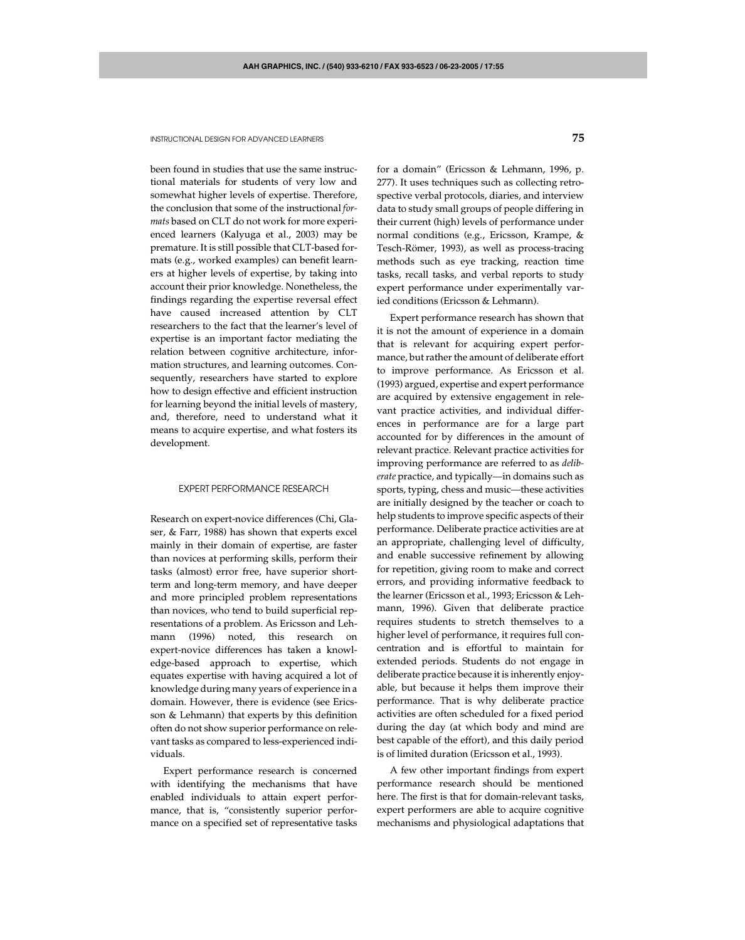been found in studies that use the same instructional materials for students of very low and somewhat higher levels of expertise. Therefore, the conclusion that some of the instructional *formats* based on CLT do not work for more experienced learners (Kalyuga et al., 2003) may be premature. It is still possible that CLT-based formats (e.g., worked examples) can benefit learners at higher levels of expertise, by taking into account their prior knowledge. Nonetheless, the findings regarding the expertise reversal effect have caused increased attention by CLT researchers to the fact that the learner's level of expertise is an important factor mediating the relation between cognitive architecture, information structures, and learning outcomes. Consequently, researchers have started to explore how to design effective and efficient instruction for learning beyond the initial levels of mastery, and, therefore, need to understand what it means to acquire expertise, and what fosters its development.

#### EXPERT PERFORMANCE RESEARCH

Research on expert-novice differences (Chi, Glaser, & Farr, 1988) has shown that experts excel mainly in their domain of expertise, are faster than novices at performing skills, perform their tasks (almost) error free, have superior shortterm and long-term memory, and have deeper and more principled problem representations than novices, who tend to build superficial representations of a problem. As Ericsson and Lehmann (1996) noted, this research on expert-novice differences has taken a knowledge-based approach to expertise, which equates expertise with having acquired a lot of knowledge during many years of experience in a domain. However, there is evidence (see Ericsson & Lehmann) that experts by this definition often do not show superior performance on relevant tasks as compared to less-experienced individuals.

Expert performance research is concerned with identifying the mechanisms that have enabled individuals to attain expert performance, that is, "consistently superior performance on a specified set of representative tasks for a domain" (Ericsson & Lehmann, 1996, p. 277). It uses techniques such as collecting retrospective verbal protocols, diaries, and interview data to study small groups of people differing in their current (high) levels of performance under normal conditions (e.g., Ericsson, Krampe, & Tesch-Römer, 1993), as well as process-tracing methods such as eye tracking, reaction time tasks, recall tasks, and verbal reports to study expert performance under experimentally varied conditions (Ericsson & Lehmann).

Expert performance research has shown that it is not the amount of experience in a domain that is relevant for acquiring expert performance, but rather the amount of deliberate effort to improve performance. As Ericsson et al. (1993) argued, expertise and expert performance are acquired by extensive engagement in relevant practice activities, and individual differences in performance are for a large part accounted for by differences in the amount of relevant practice. Relevant practice activities for improving performance are referred to as *deliberate* practice, and typically—in domains such as sports, typing, chess and music—these activities are initially designed by the teacher or coach to help students to improve specific aspects of their performance. Deliberate practice activities are at an appropriate, challenging level of difficulty, and enable successive refinement by allowing for repetition, giving room to make and correct errors, and providing informative feedback to the learner (Ericsson et al., 1993; Ericsson & Lehmann, 1996). Given that deliberate practice requires students to stretch themselves to a higher level of performance, it requires full concentration and is effortful to maintain for extended periods. Students do not engage in deliberate practice because it is inherently enjoyable, but because it helps them improve their performance. That is why deliberate practice activities are often scheduled for a fixed period during the day (at which body and mind are best capable of the effort), and this daily period is of limited duration (Ericsson et al., 1993).

A few other important findings from expert performance research should be mentioned here. The first is that for domain-relevant tasks, expert performers are able to acquire cognitive mechanisms and physiological adaptations that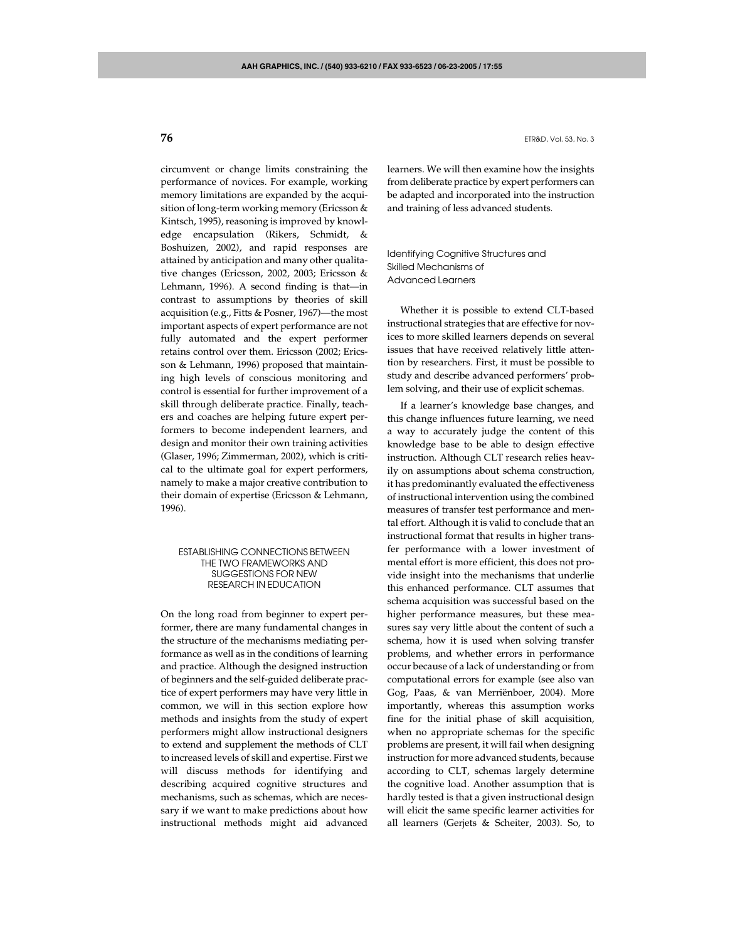circumvent or change limits constraining the performance of novices. For example, working memory limitations are expanded by the acquisition of long-term working memory (Ericsson & Kintsch, 1995), reasoning is improved by knowledge encapsulation (Rikers, Schmidt, & Boshuizen, 2002), and rapid responses are attained by anticipation and many other qualitative changes (Ericsson, 2002, 2003; Ericsson & Lehmann, 1996). A second finding is that—in contrast to assumptions by theories of skill acquisition (e.g., Fitts & Posner, 1967)—the most important aspects of expert performance are not fully automated and the expert performer retains control over them. Ericsson (2002; Ericsson & Lehmann, 1996) proposed that maintaining high levels of conscious monitoring and control is essential for further improvement of a skill through deliberate practice. Finally, teachers and coaches are helping future expert performers to become independent learners, and design and monitor their own training activities (Glaser, 1996; Zimmerman, 2002), which is critical to the ultimate goal for expert performers, namely to make a major creative contribution to their domain of expertise (Ericsson & Lehmann, 1996).

# ESTABLISHING CONNECTIONS BETWEEN THE TWO FRAMEWORKS AND SUGGESTIONS FOR NEW RESEARCH IN EDUCATION

On the long road from beginner to expert performer, there are many fundamental changes in the structure of the mechanisms mediating performance as well as in the conditions of learning and practice. Although the designed instruction of beginners and the self-guided deliberate practice of expert performers may have very little in common, we will in this section explore how methods and insights from the study of expert performers might allow instructional designers to extend and supplement the methods of CLT to increased levels of skill and expertise. First we will discuss methods for identifying and describing acquired cognitive structures and mechanisms, such as schemas, which are necessary if we want to make predictions about how instructional methods might aid advanced

learners. We will then examine how the insights from deliberate practice by expert performers can be adapted and incorporated into the instruction and training of less advanced students.

Identifying Cognitive Structures and Skilled Mechanisms of Advanced Learners

Whether it is possible to extend CLT-based instructional strategies that are effective for novices to more skilled learners depends on several issues that have received relatively little attention by researchers. First, it must be possible to study and describe advanced performers' problem solving, and their use of explicit schemas.

If a learner's knowledge base changes, and this change influences future learning, we need a way to accurately judge the content of this knowledge base to be able to design effective instruction. Although CLT research relies heavily on assumptions about schema construction, it has predominantly evaluated the effectiveness of instructional intervention using the combined measures of transfer test performance and mental effort. Although it is valid to conclude that an instructional format that results in higher transfer performance with a lower investment of mental effort is more efficient, this does not provide insight into the mechanisms that underlie this enhanced performance. CLT assumes that schema acquisition was successful based on the higher performance measures, but these measures say very little about the content of such a schema, how it is used when solving transfer problems, and whether errors in performance occur because of a lack of understanding or from computational errors for example (see also van Gog, Paas, & van Merriënboer, 2004). More importantly, whereas this assumption works fine for the initial phase of skill acquisition, when no appropriate schemas for the specific problems are present, it will fail when designing instruction for more advanced students, because according to CLT, schemas largely determine the cognitive load. Another assumption that is hardly tested is that a given instructional design will elicit the same specific learner activities for all learners (Gerjets & Scheiter, 2003). So, to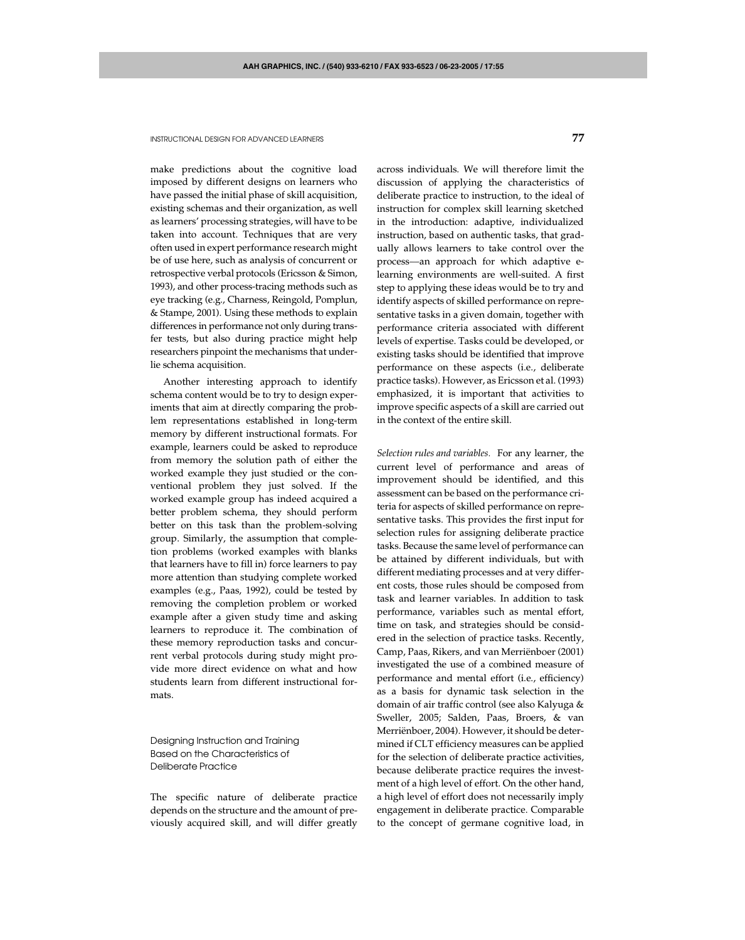make predictions about the cognitive load imposed by different designs on learners who have passed the initial phase of skill acquisition, existing schemas and their organization, as well as learners' processing strategies, will have to be taken into account. Techniques that are very often used in expert performance research might be of use here, such as analysis of concurrent or retrospective verbal protocols (Ericsson & Simon, 1993), and other process-tracing methods such as eye tracking (e.g., Charness, Reingold, Pomplun, & Stampe, 2001). Using these methods to explain differences in performance not only during transfer tests, but also during practice might help researchers pinpoint the mechanisms that underlie schema acquisition.

Another interesting approach to identify schema content would be to try to design experiments that aim at directly comparing the problem representations established in long-term memory by different instructional formats. For example, learners could be asked to reproduce from memory the solution path of either the worked example they just studied or the conventional problem they just solved. If the worked example group has indeed acquired a better problem schema, they should perform better on this task than the problem-solving group. Similarly, the assumption that completion problems (worked examples with blanks that learners have to fill in) force learners to pay more attention than studying complete worked examples (e.g., Paas, 1992), could be tested by removing the completion problem or worked example after a given study time and asking learners to reproduce it. The combination of these memory reproduction tasks and concurrent verbal protocols during study might provide more direct evidence on what and how students learn from different instructional formats.

Designing Instruction and Training Based on the Characteristics of Deliberate Practice

The specific nature of deliberate practice depends on the structure and the amount of previously acquired skill, and will differ greatly across individuals. We will therefore limit the discussion of applying the characteristics of deliberate practice to instruction, to the ideal of instruction for complex skill learning sketched in the introduction: adaptive, individualized instruction, based on authentic tasks, that gradually allows learners to take control over the process—an approach for which adaptive elearning environments are well-suited. A first step to applying these ideas would be to try and identify aspects of skilled performance on representative tasks in a given domain, together with performance criteria associated with different levels of expertise. Tasks could be developed, or existing tasks should be identified that improve performance on these aspects (i.e., deliberate practice tasks). However, as Ericsson et al. (1993) emphasized, it is important that activities to improve specific aspects of a skill are carried out in the context of the entire skill.

*Selection rules and variables.* For any learner, the current level of performance and areas of improvement should be identified, and this assessment can be based on the performance criteria for aspects of skilled performance on representative tasks. This provides the first input for selection rules for assigning deliberate practice tasks. Because the same level of performance can be attained by different individuals, but with different mediating processes and at very different costs, those rules should be composed from task and learner variables. In addition to task performance, variables such as mental effort, time on task, and strategies should be considered in the selection of practice tasks. Recently, Camp, Paas, Rikers, and van Merriënboer (2001) investigated the use of a combined measure of performance and mental effort (i.e., efficiency) as a basis for dynamic task selection in the domain of air traffic control (see also Kalyuga & Sweller, 2005; Salden, Paas, Broers, & van Merriënboer, 2004). However, it should be determined if CLT efficiency measures can be applied for the selection of deliberate practice activities, because deliberate practice requires the investment of a high level of effort. On the other hand, a high level of effort does not necessarily imply engagement in deliberate practice. Comparable to the concept of germane cognitive load, in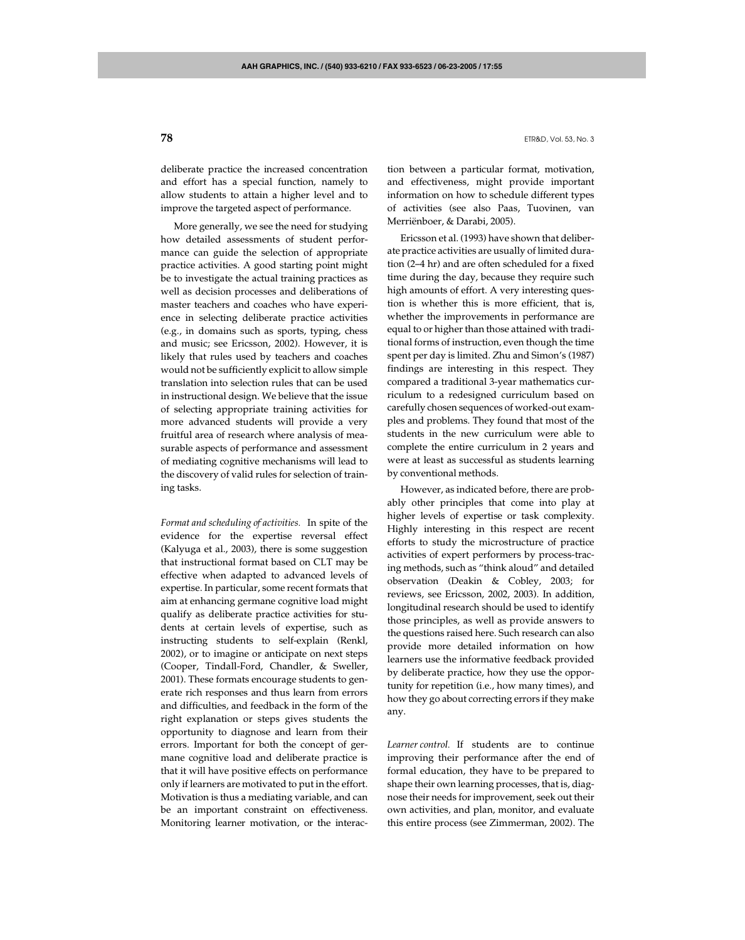deliberate practice the increased concentration and effort has a special function, namely to allow students to attain a higher level and to improve the targeted aspect of performance.

More generally, we see the need for studying how detailed assessments of student performance can guide the selection of appropriate practice activities. A good starting point might be to investigate the actual training practices as well as decision processes and deliberations of master teachers and coaches who have experience in selecting deliberate practice activities (e.g., in domains such as sports, typing, chess and music; see Ericsson, 2002). However, it is likely that rules used by teachers and coaches would not be sufficiently explicit to allow simple translation into selection rules that can be used in instructional design. We believe that the issue of selecting appropriate training activities for more advanced students will provide a very fruitful area of research where analysis of measurable aspects of performance and assessment of mediating cognitive mechanisms will lead to the discovery of valid rules for selection of training tasks.

*Format and scheduling of activities.* In spite of the evidence for the expertise reversal effect (Kalyuga et al., 2003), there is some suggestion that instructional format based on CLT may be effective when adapted to advanced levels of expertise. In particular, some recent formats that aim at enhancing germane cognitive load might qualify as deliberate practice activities for students at certain levels of expertise, such as instructing students to self-explain (Renkl, 2002), or to imagine or anticipate on next steps (Cooper, Tindall-Ford, Chandler, & Sweller, 2001). These formats encourage students to generate rich responses and thus learn from errors and difficulties, and feedback in the form of the right explanation or steps gives students the opportunity to diagnose and learn from their errors. Important for both the concept of germane cognitive load and deliberate practice is that it will have positive effects on performance only if learners are motivated to put in the effort. Motivation is thus a mediating variable, and can be an important constraint on effectiveness. Monitoring learner motivation, or the interaction between a particular format, motivation, and effectiveness, might provide important information on how to schedule different types of activities (see also Paas, Tuovinen, van Merriënboer, & Darabi, 2005).

Ericsson et al. (1993) have shown that deliberate practice activities are usually of limited duration (2–4 hr) and are often scheduled for a fixed time during the day, because they require such high amounts of effort. A very interesting question is whether this is more efficient, that is, whether the improvements in performance are equal to or higher than those attained with traditional forms of instruction, even though the time spent per day is limited. Zhu and Simon's (1987) findings are interesting in this respect. They compared a traditional 3-year mathematics curriculum to a redesigned curriculum based on carefully chosen sequences of worked-out examples and problems. They found that most of the students in the new curriculum were able to complete the entire curriculum in 2 years and were at least as successful as students learning by conventional methods.

However, as indicated before, there are probably other principles that come into play at higher levels of expertise or task complexity. Highly interesting in this respect are recent efforts to study the microstructure of practice activities of expert performers by process-tracing methods, such as "think aloud" and detailed observation (Deakin & Cobley, 2003; for reviews, see Ericsson, 2002, 2003). In addition, longitudinal research should be used to identify those principles, as well as provide answers to the questions raised here. Such research can also provide more detailed information on how learners use the informative feedback provided by deliberate practice, how they use the opportunity for repetition (i.e., how many times), and how they go about correcting errors if they make any.

*Learner control.* If students are to continue improving their performance after the end of formal education, they have to be prepared to shape their own learning processes, that is, diagnose their needs for improvement, seek out their own activities, and plan, monitor, and evaluate this entire process (see Zimmerman, 2002). The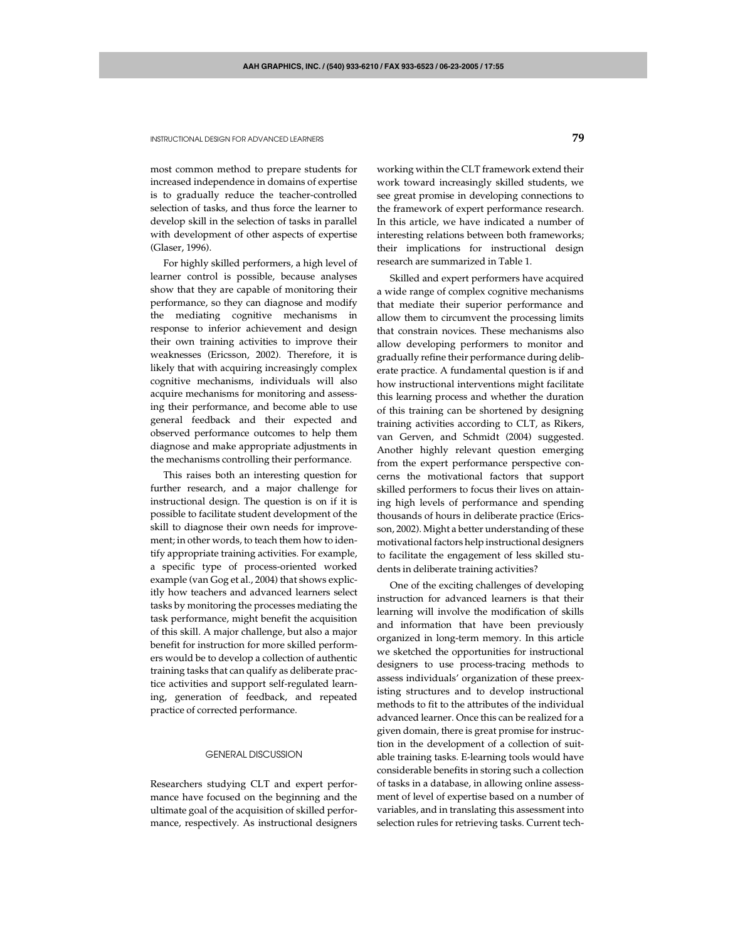most common method to prepare students for increased independence in domains of expertise is to gradually reduce the teacher-controlled selection of tasks, and thus force the learner to develop skill in the selection of tasks in parallel with development of other aspects of expertise (Glaser, 1996).

For highly skilled performers, a high level of learner control is possible, because analyses show that they are capable of monitoring their performance, so they can diagnose and modify the mediating cognitive mechanisms in response to inferior achievement and design their own training activities to improve their weaknesses (Ericsson, 2002). Therefore, it is likely that with acquiring increasingly complex cognitive mechanisms, individuals will also acquire mechanisms for monitoring and assessing their performance, and become able to use general feedback and their expected and observed performance outcomes to help them diagnose and make appropriate adjustments in the mechanisms controlling their performance.

This raises both an interesting question for further research, and a major challenge for instructional design. The question is on if it is possible to facilitate student development of the skill to diagnose their own needs for improvement; in other words, to teach them how to identify appropriate training activities. For example, a specific type of process-oriented worked example (van Gog et al., 2004) that shows explicitly how teachers and advanced learners select tasks by monitoring the processes mediating the task performance, might benefit the acquisition of this skill. A major challenge, but also a major benefit for instruction for more skilled performers would be to develop a collection of authentic training tasks that can qualify as deliberate practice activities and support self-regulated learning, generation of feedback, and repeated practice of corrected performance.

# GENERAL DISCUSSION

Researchers studying CLT and expert performance have focused on the beginning and the ultimate goal of the acquisition of skilled performance, respectively. As instructional designers

working within the CLT framework extend their work toward increasingly skilled students, we see great promise in developing connections to the framework of expert performance research. In this article, we have indicated a number of interesting relations between both frameworks; their implications for instructional design research are summarized in Table 1.

Skilled and expert performers have acquired a wide range of complex cognitive mechanisms that mediate their superior performance and allow them to circumvent the processing limits that constrain novices. These mechanisms also allow developing performers to monitor and gradually refine their performance during deliberate practice. A fundamental question is if and how instructional interventions might facilitate this learning process and whether the duration of this training can be shortened by designing training activities according to CLT, as Rikers, van Gerven, and Schmidt (2004) suggested. Another highly relevant question emerging from the expert performance perspective concerns the motivational factors that support skilled performers to focus their lives on attaining high levels of performance and spending thousands of hours in deliberate practice (Ericsson, 2002). Might a better understanding of these motivational factors help instructional designers to facilitate the engagement of less skilled students in deliberate training activities?

One of the exciting challenges of developing instruction for advanced learners is that their learning will involve the modification of skills and information that have been previously organized in long-term memory. In this article we sketched the opportunities for instructional designers to use process-tracing methods to assess individuals' organization of these preexisting structures and to develop instructional methods to fit to the attributes of the individual advanced learner. Once this can be realized for a given domain, there is great promise for instruction in the development of a collection of suitable training tasks. E-learning tools would have considerable benefits in storing such a collection of tasks in a database, in allowing online assessment of level of expertise based on a number of variables, and in translating this assessment into selection rules for retrieving tasks. Current tech-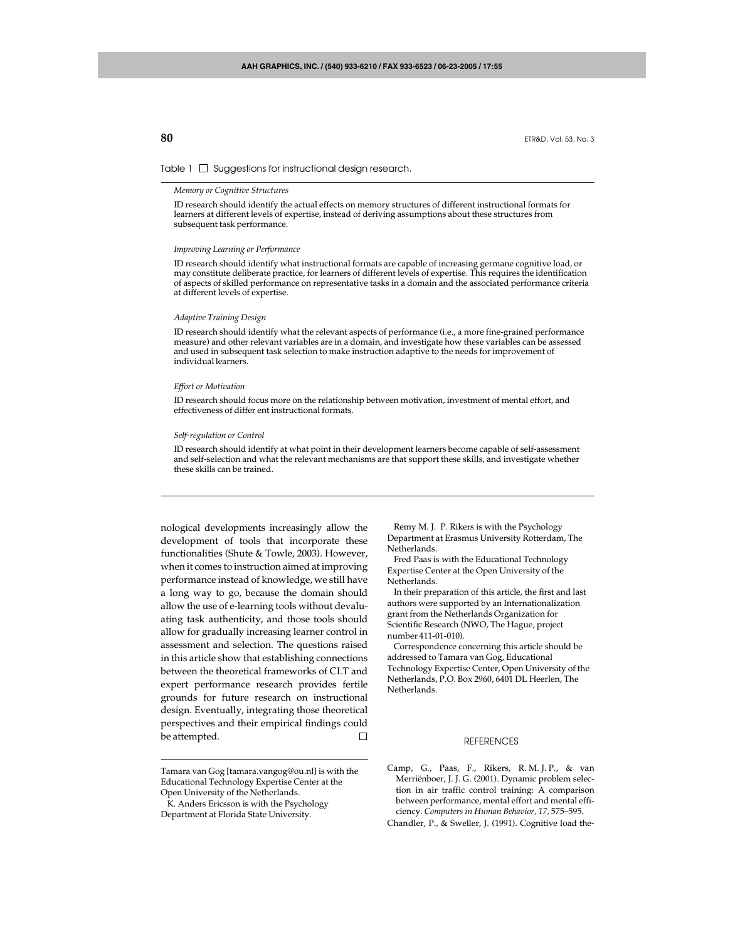## Table  $1 \square$  Suggestions for instructional design research.

# *Memory or Cognitive Structures*

ID research should identify the actual effects on memory structures of different instructional formats for learners at different levels of expertise, instead of deriving assumptions about these structures from subsequent task performance.

## *Improving Learning or Performance*

ID research should identify what instructional formats are capable of increasing germane cognitive load, or may constitute deliberate practice, for learners of different levels of expertise. This requires the identification of aspects of skilled performance on representative tasks in a domain and the associated performance criteria at different levels of expertise.

# *Adaptive Training Design*

ID research should identify what the relevant aspects of performance (i.e., a more fine-grained performance measure) and other relevant variables are in a domain, and investigate how these variables can be assessed and used in subsequent task selection to make instruction adaptive to the needs for improvement of individual learners.

## *Effort or Motivation*

ID research should focus more on the relationship between motivation, investment of mental effort, and effectiveness of differ ent instructional formats.

## *Self-regulation or Control*

ID research should identify at what point in their development learners become capable of self-assessment and self-selection and what the relevant mechanisms are that support these skills, and investigate whether these skills can be trained.

nological developments increasingly allow the development of tools that incorporate these functionalities (Shute & Towle, 2003). However, when it comes to instruction aimed at improving performance instead of knowledge, we still have a long way to go, because the domain should allow the use of e-learning tools without devaluating task authenticity, and those tools should allow for gradually increasing learner control in assessment and selection. The questions raised in this article show that establishing connections between the theoretical frameworks of CLT and expert performance research provides fertile grounds for future research on instructional design. Eventually, integrating those theoretical perspectives and their empirical findings could П be attempted.

 Remy M. J. P. Rikers is with the Psychology Department at Erasmus University Rotterdam, The Netherlands.

 Fred Paas is with the Educational Technology Expertise Center at the Open University of the Netherlands.

 In their preparation of this article, the first and last authors were supported by an Internationalization grant from the Netherlands Organization for Scientific Research (NWO, The Hague, project number 411-01-010).

 Correspondence concerning this article should be addressed to Tamara van Gog, Educational Technology Expertise Center, Open University of the Netherlands, P.O. Box 2960, 6401 DL Heerlen, The Netherlands.

## **REFERENCES**

Camp, G., Paas, F., Rikers, R. M. J. P., & van Merriënboer, J. J. G. (2001). Dynamic problem selection in air traffic control training: A comparison between performance, mental effort and mental efficiency. *Computers in Human Behavior, 17,* 575–595.

Tamara van Gog [tamara.vangog@ou.nl] is with the Educational Technology Expertise Center at the Open University of the Netherlands.

K. Anders Ericsson is with the Psychology Department at Florida State University.

Chandler, P., & Sweller, J. (1991). Cognitive load the-